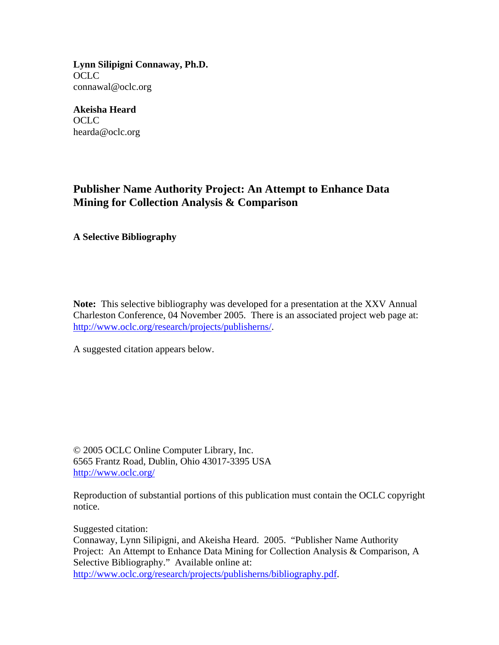**Lynn Silipigni Connaway, Ph.D.**  OCLC connawal@oclc.org

**Akeisha Heard**  OCLC hearda@oclc.org

## **Publisher Name Authority Project: An Attempt to Enhance Data Mining for Collection Analysis & Comparison**

**A Selective Bibliography** 

**Note:** This selective bibliography was developed for a presentation at the XXV Annual Charleston Conference, 04 November 2005. There is an associated project web page at: <http://www.oclc.org/research/projects/publisherns/>.

A suggested citation appears below.

© 2005 OCLC Online Computer Library, Inc. 6565 Frantz Road, Dublin, Ohio 43017-3395 USA <http://www.oclc.org/>

Reproduction of substantial portions of this publication must contain the OCLC copyright notice.

Suggested citation:

Connaway, Lynn Silipigni, and Akeisha Heard. 2005. "Publisher Name Authority Project: An Attempt to Enhance Data Mining for Collection Analysis & Comparison, A Selective Bibliography." Available online at: [http://www.oclc.org/research/projects/publisherns/bibliography.pdf.](http://www.oclc.org/research/projects/publisherns/bibliography.pdf)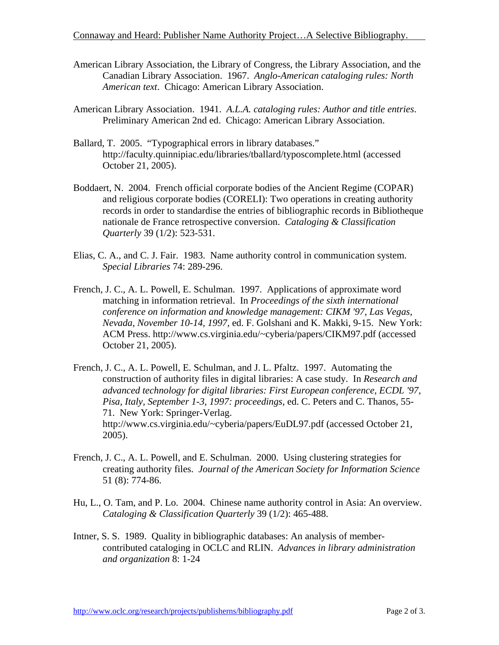Connaway and Heard: Publisher Name Authority Project…A Selective Bibliography.

- American Library Association, the Library of Congress, the Library Association, and the Canadian Library Association. 1967. *Anglo-American cataloging rules: North American text*. Chicago: American Library Association.
- American Library Association. 1941. *A.L.A. cataloging rules: Author and title entries*. Preliminary American 2nd ed. Chicago: American Library Association.
- Ballard, T. 2005. "Typographical errors in library databases." http://faculty.quinnipiac.edu/libraries/tballard/typoscomplete.html (accessed October 21, 2005).
- Boddaert, N. 2004. French official corporate bodies of the Ancient Regime (COPAR) and religious corporate bodies (CORELI): Two operations in creating authority records in order to standardise the entries of bibliographic records in Bibliotheque nationale de France retrospective conversion. *Cataloging & Classification Quarterly* 39 (1/2): 523-531.
- Elias, C. A., and C. J. Fair. 1983. Name authority control in communication system. *Special Libraries* 74: 289-296.
- French, J. C., A. L. Powell, E. Schulman. 1997. Applications of approximate word matching in information retrieval. In *Proceedings of the sixth international conference on information and knowledge management: CIKM '97, Las Vegas, Nevada, November 10-14, 1997,* ed. F. Golshani and K. Makki, 9-15. New York: ACM Press. http://www.cs.virginia.edu/~cyberia/papers/CIKM97.pdf (accessed October 21, 2005).
- French, J. C., A. L. Powell, E. Schulman, and J. L. Pfaltz. 1997. Automating the construction of authority files in digital libraries: A case study. In *Research and advanced technology for digital libraries: First European conference, ECDL '97, Pisa, Italy, September 1-3, 1997: proceedings*, ed. C. Peters and C. Thanos, 55- 71. New York: Springer-Verlag. http://www.cs.virginia.edu/~cyberia/papers/EuDL97.pdf (accessed October 21, 2005).
- French, J. C., A. L. Powell, and E. Schulman. 2000. Using clustering strategies for creating authority files. *Journal of the American Society for Information Science*  51 (8): 774-86.
- Hu, L., O. Tam, and P. Lo. 2004. Chinese name authority control in Asia: An overview. *Cataloging & Classification Quarterly* 39 (1/2): 465-488.
- Intner, S. S. 1989. Quality in bibliographic databases: An analysis of membercontributed cataloging in OCLC and RLIN. *Advances in library administration and organization* 8: 1-24